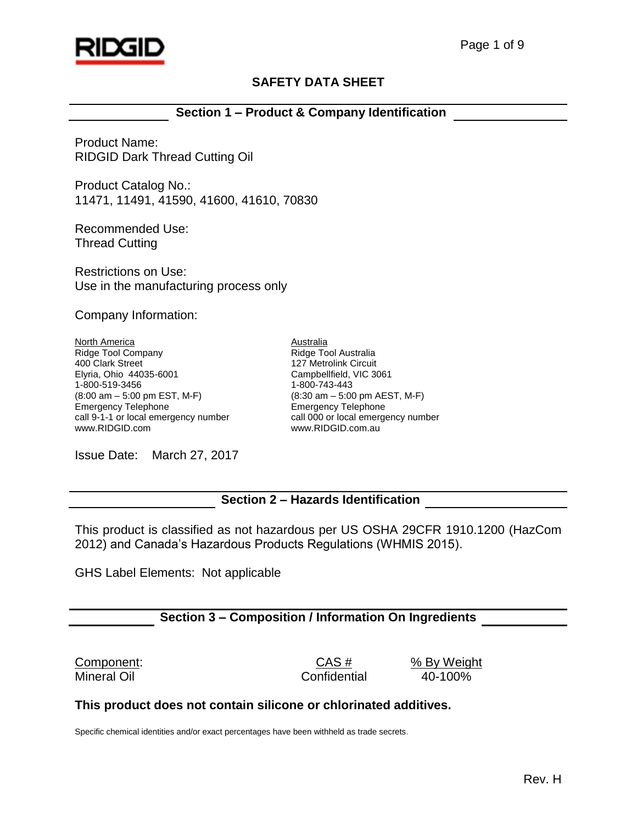

# **SAFETY DATA SHEET**

# **Section 1 – Product & Company Identification**

Product Name: RIDGID Dark Thread Cutting Oil

Product Catalog No.: 11471, 11491, 41590, 41600, 41610, 70830

Recommended Use: Thread Cutting

Restrictions on Use: Use in the manufacturing process only

Company Information:

North America Ridge Tool Company 400 Clark Street Elyria, Ohio 44035-6001 1-800-519-3456 (8:00 am – 5:00 pm EST, M-F) Emergency Telephone call 9-1-1 or local emergency number www.RIDGID.com

Australia Ridge Tool Australia 127 Metrolink Circuit Campbellfield, VIC 3061 1-800-743-443 (8:30 am – 5:00 pm AEST, M-F) Emergency Telephone call 000 or local emergency number www.RIDGID.com.au

Issue Date: March 27, 2017

# **Section 2 – Hazards Identification**

This product is classified as not hazardous per US OSHA 29CFR 1910.1200 (HazCom 2012) and Canada's Hazardous Products Regulations (WHMIS 2015).

GHS Label Elements: Not applicable

# **Section 3 – Composition / Information On Ingredients**

Component: CAS # % By Weight Mineral Oil Confidential 40-100%

### **This product does not contain silicone or chlorinated additives.**

Specific chemical identities and/or exact percentages have been withheld as trade secrets.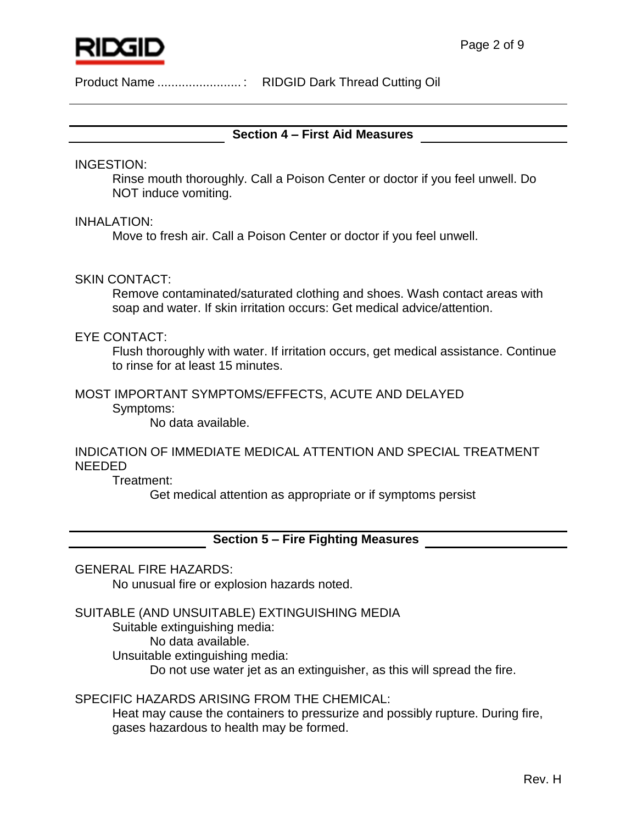

# **Section 4 – First Aid Measures**

INGESTION:

Rinse mouth thoroughly. Call a Poison Center or doctor if you feel unwell. Do NOT induce vomiting.

INHALATION:

Move to fresh air. Call a Poison Center or doctor if you feel unwell.

### SKIN CONTACT:

Remove contaminated/saturated clothing and shoes. Wash contact areas with soap and water. If skin irritation occurs: Get medical advice/attention.

#### EYE CONTACT:

Flush thoroughly with water. If irritation occurs, get medical assistance. Continue to rinse for at least 15 minutes.

# MOST IMPORTANT SYMPTOMS/EFFECTS, ACUTE AND DELAYED

Symptoms:

No data available.

# INDICATION OF IMMEDIATE MEDICAL ATTENTION AND SPECIAL TREATMENT NEEDED

Treatment:

Get medical attention as appropriate or if symptoms persist

**Section 5 – Fire Fighting Measures**

### GENERAL FIRE HAZARDS:

No unusual fire or explosion hazards noted.

### SUITABLE (AND UNSUITABLE) EXTINGUISHING MEDIA

Suitable extinguishing media:

No data available.

Unsuitable extinguishing media:

Do not use water jet as an extinguisher, as this will spread the fire.

### SPECIFIC HAZARDS ARISING FROM THE CHEMICAL:

Heat may cause the containers to pressurize and possibly rupture. During fire, gases hazardous to health may be formed.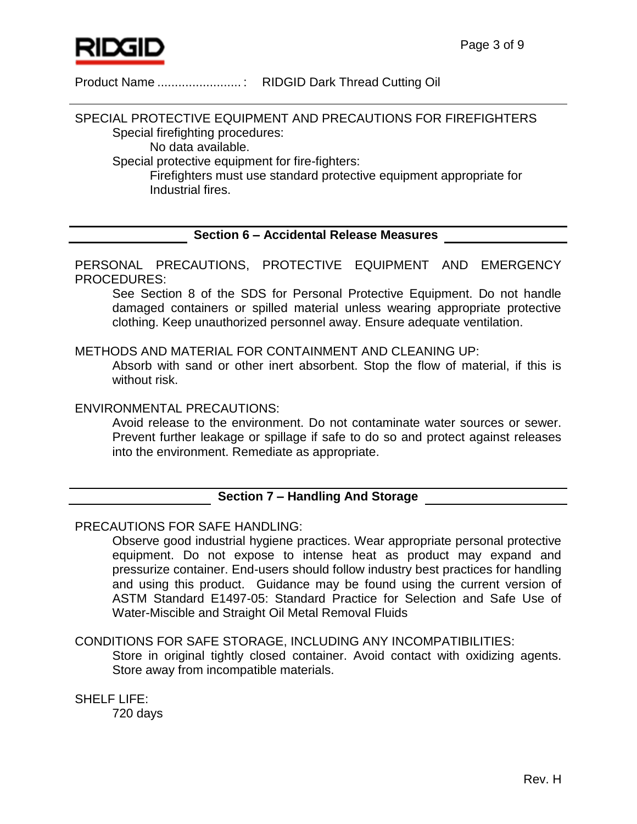

SPECIAL PROTECTIVE EQUIPMENT AND PRECAUTIONS FOR FIREFIGHTERS Special firefighting procedures:

No data available.

Special protective equipment for fire-fighters:

Firefighters must use standard protective equipment appropriate for Industrial fires.

# **Section 6 – Accidental Release Measures**

PERSONAL PRECAUTIONS, PROTECTIVE EQUIPMENT AND EMERGENCY PROCEDURES:

See Section 8 of the SDS for Personal Protective Equipment. Do not handle damaged containers or spilled material unless wearing appropriate protective clothing. Keep unauthorized personnel away. Ensure adequate ventilation.

# METHODS AND MATERIAL FOR CONTAINMENT AND CLEANING UP:

Absorb with sand or other inert absorbent. Stop the flow of material, if this is without risk.

# ENVIRONMENTAL PRECAUTIONS:

Avoid release to the environment. Do not contaminate water sources or sewer. Prevent further leakage or spillage if safe to do so and protect against releases into the environment. Remediate as appropriate.

# **Section 7 – Handling And Storage**

# PRECAUTIONS FOR SAFE HANDLING:

Observe good industrial hygiene practices. Wear appropriate personal protective equipment. Do not expose to intense heat as product may expand and pressurize container. End-users should follow industry best practices for handling and using this product. Guidance may be found using the current version of ASTM Standard E1497-05: Standard Practice for Selection and Safe Use of Water-Miscible and Straight Oil Metal Removal Fluids

# CONDITIONS FOR SAFE STORAGE, INCLUDING ANY INCOMPATIBILITIES:

Store in original tightly closed container. Avoid contact with oxidizing agents. Store away from incompatible materials.

SHELF LIFE:

720 days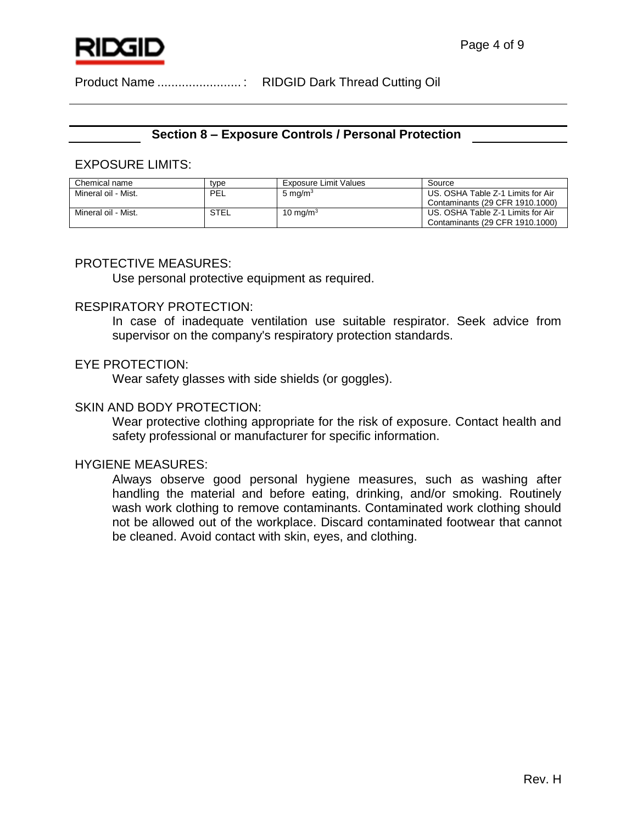

### **Section 8 – Exposure Controls / Personal Protection**

#### EXPOSURE LIMITS:

| Chemical name       | type | <b>Exposure Limit Values</b> | Source                                                               |
|---------------------|------|------------------------------|----------------------------------------------------------------------|
| Mineral oil - Mist. | PEL  | 5 mg/m <sup>3</sup>          | US. OSHA Table Z-1 Limits for Air<br>Contaminants (29 CFR 1910.1000) |
| Mineral oil - Mist. | STEL | 10 mg/m $3$                  | US. OSHA Table Z-1 Limits for Air<br>Contaminants (29 CFR 1910.1000) |

#### PROTECTIVE MEASURES:

Use personal protective equipment as required.

#### RESPIRATORY PROTECTION:

In case of inadequate ventilation use suitable respirator. Seek advice from supervisor on the company's respiratory protection standards.

#### EYE PROTECTION:

Wear safety glasses with side shields (or goggles).

#### SKIN AND BODY PROTECTION:

Wear protective clothing appropriate for the risk of exposure. Contact health and safety professional or manufacturer for specific information.

### HYGIENE MEASURES:

Always observe good personal hygiene measures, such as washing after handling the material and before eating, drinking, and/or smoking. Routinely wash work clothing to remove contaminants. Contaminated work clothing should not be allowed out of the workplace. Discard contaminated footwear that cannot be cleaned. Avoid contact with skin, eyes, and clothing.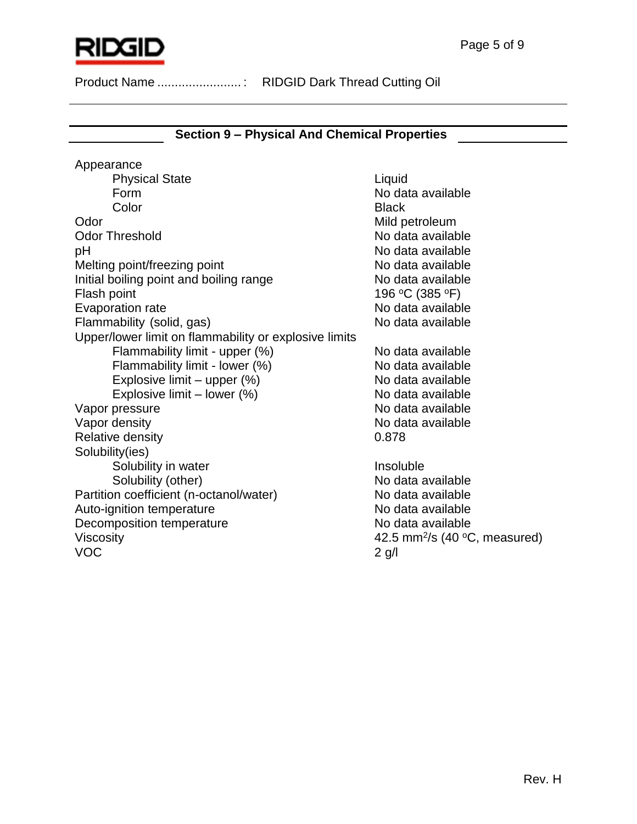

# **Section 9 – Physical And Chemical Properties**

Appearance Physical State Liquid Form No data available **Color** Black Odor Mild petroleum Odor Threshold **No data available** pH  $\blacksquare$ Melting point/freezing point No data available Initial boiling point and boiling range No data available Flash point 196 °C (385 °F) Evaporation rate **No assume that the COV** No data available Flammability (solid, gas) No data available Upper/lower limit on flammability or explosive limits Flammability limit - upper (%) No data available Flammability limit - lower  $(%)$  No data available Explosive limit – upper  $(\%)$  No data available Explosive limit – lower  $(\%)$  No data available Vapor pressure No data available Vapor density No data available Relative density 0.878 Solubility(ies) Solubility in water **Insoluble** Solubility (other) No data available Partition coefficient (n-octanol/water) No data available Auto-ignition temperature No data available Decomposition temperature No data available Viscosity and the same of the set of the 42.5 mm<sup>2</sup>/s (40 °C, measured) VOC 2 g/l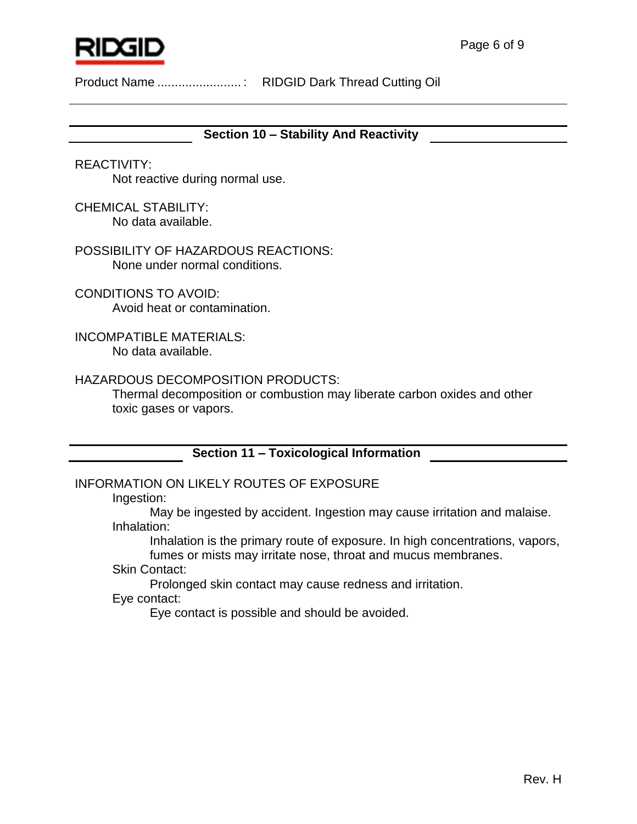

**Section 10 – Stability And Reactivity**

REACTIVITY: Not reactive during normal use.

CHEMICAL STABILITY: No data available.

POSSIBILITY OF HAZARDOUS REACTIONS: None under normal conditions.

CONDITIONS TO AVOID: Avoid heat or contamination.

INCOMPATIBLE MATERIALS: No data available.

# HAZARDOUS DECOMPOSITION PRODUCTS:

Thermal decomposition or combustion may liberate carbon oxides and other toxic gases or vapors.

# **Section 11 – Toxicological Information**

# INFORMATION ON LIKELY ROUTES OF EXPOSURE

Ingestion:

May be ingested by accident. Ingestion may cause irritation and malaise. Inhalation:

Inhalation is the primary route of exposure. In high concentrations, vapors, fumes or mists may irritate nose, throat and mucus membranes.

Skin Contact:

Prolonged skin contact may cause redness and irritation.

Eye contact:

Eye contact is possible and should be avoided.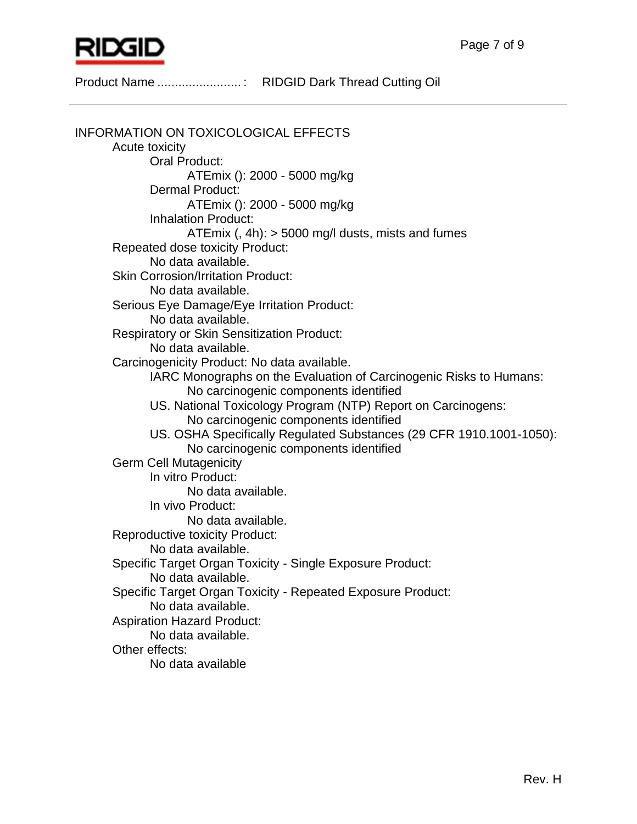

INFORMATION ON TOXICOLOGICAL EFFECTS Acute toxicity Oral Product: ATEmix (): 2000 - 5000 mg/kg Dermal Product: ATEmix (): 2000 - 5000 mg/kg Inhalation Product: ATEmix (,  $4h$ ):  $>$  5000 mg/l dusts, mists and fumes Repeated dose toxicity Product: No data available. Skin Corrosion/Irritation Product: No data available. Serious Eye Damage/Eye Irritation Product: No data available. Respiratory or Skin Sensitization Product: No data available. Carcinogenicity Product: No data available. IARC Monographs on the Evaluation of Carcinogenic Risks to Humans: No carcinogenic components identified US. National Toxicology Program (NTP) Report on Carcinogens: No carcinogenic components identified US. OSHA Specifically Regulated Substances (29 CFR 1910.1001-1050): No carcinogenic components identified Germ Cell Mutagenicity In vitro Product: No data available. In vivo Product: No data available. Reproductive toxicity Product: No data available. Specific Target Organ Toxicity - Single Exposure Product: No data available. Specific Target Organ Toxicity - Repeated Exposure Product: No data available. Aspiration Hazard Product: No data available. Other effects: No data available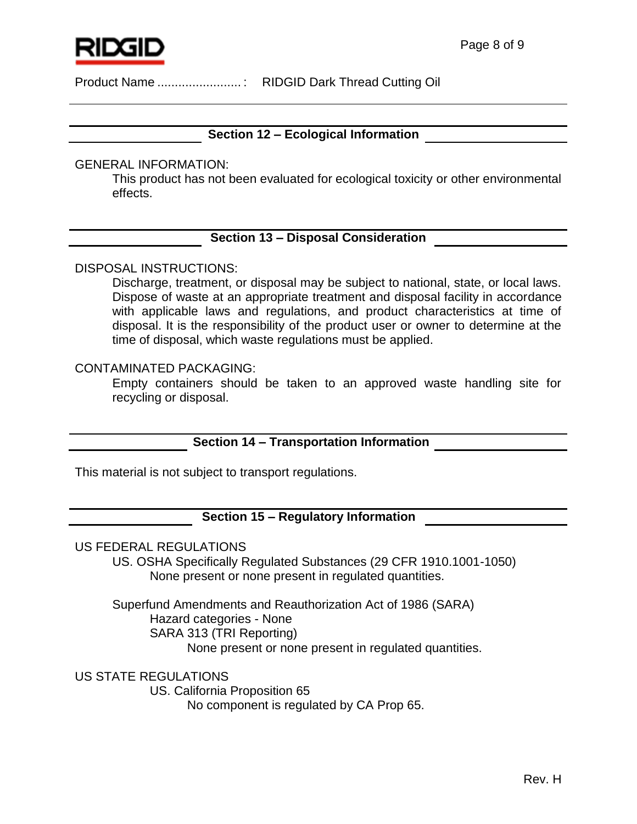

# **Section 12 – Ecological Information**

### GENERAL INFORMATION:

This product has not been evaluated for ecological toxicity or other environmental effects.

# **Section 13 – Disposal Consideration**

# DISPOSAL INSTRUCTIONS:

Discharge, treatment, or disposal may be subject to national, state, or local laws. Dispose of waste at an appropriate treatment and disposal facility in accordance with applicable laws and regulations, and product characteristics at time of disposal. It is the responsibility of the product user or owner to determine at the time of disposal, which waste regulations must be applied.

### CONTAMINATED PACKAGING:

Empty containers should be taken to an approved waste handling site for recycling or disposal.

# **Section 14 – Transportation Information**

This material is not subject to transport regulations.

# **Section 15 – Regulatory Information**

#### US FEDERAL REGULATIONS

US. OSHA Specifically Regulated Substances (29 CFR 1910.1001-1050) None present or none present in regulated quantities.

Superfund Amendments and Reauthorization Act of 1986 (SARA) Hazard categories - None SARA 313 (TRI Reporting) None present or none present in regulated quantities.

US STATE REGULATIONS

US. California Proposition 65

No component is regulated by CA Prop 65.